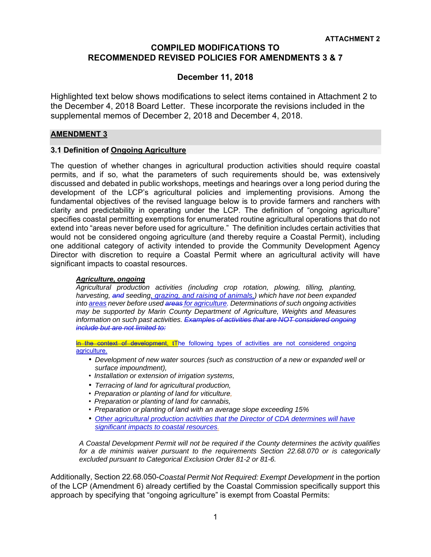# **COMPILED MODIFICATIONS TO RECOMMENDED REVISED POLICIES FOR AMENDMENTS 3 & 7**

# **December 11, 2018**

Highlighted text below shows modifications to select items contained in Attachment 2 to the December 4, 2018 Board Letter. These incorporate the revisions included in the supplemental memos of December 2, 2018 and December 4, 2018.

## **AMENDMENT 3**

## **3.1 Definition of Ongoing Agriculture**

The question of whether changes in agricultural production activities should require coastal permits, and if so, what the parameters of such requirements should be, was extensively discussed and debated in public workshops, meetings and hearings over a long period during the development of the LCP's agricultural policies and implementing provisions. Among the fundamental objectives of the revised language below is to provide farmers and ranchers with clarity and predictability in operating under the LCP. The definition of "ongoing agriculture" specifies coastal permitting exemptions for enumerated routine agricultural operations that do not extend into "areas never before used for agriculture." The definition includes certain activities that would not be considered ongoing agriculture (and thereby require a Coastal Permit), including one additional category of activity intended to provide the Community Development Agency Director with discretion to require a Coastal Permit where an agricultural activity will have significant impacts to coastal resources.

#### *Agriculture, ongoing*

*Agricultural production activities (including crop rotation, plowing, tilling, planting, harvesting, and seeding, grazing, and raising of animals,) which have not been expanded into areas never before used areas for agriculture. Determinations of such ongoing activities may be supported by Marin County Department of Agriculture, Weights and Measures information on such past activities. Examples of activities that are NOT considered ongoing include but are not limited to:* 

In the context of development, tThe following types of activities are not considered ongoing agriculture.

- *Development of new water sources (such as construction of a new or expanded well or surface impoundment),*
- *Installation or extension of irrigation systems,*
- *Terracing of land for agricultural production,*
- *Preparation or planting of land for viticulture,*
- *Preparation or planting of land for cannabis,*
- *Preparation or planting of land with an average slope exceeding 15%*
- *Other agricultural production activities that the Director of CDA determines will have significant impacts to coastal resources.*

*A Coastal Development Permit will not be required if the County determines the activity qualifies for a de minimis waiver pursuant to the requirements Section 22.68.070 or is categorically excluded pursuant to Categorical Exclusion Order 81-2 or 81-6.* 

Additionally, Section 22.68.050-*Coastal Permit Not Required: Exempt Development* in the portion of the LCP (Amendment 6) already certified by the Coastal Commission specifically support this approach by specifying that "ongoing agriculture" is exempt from Coastal Permits: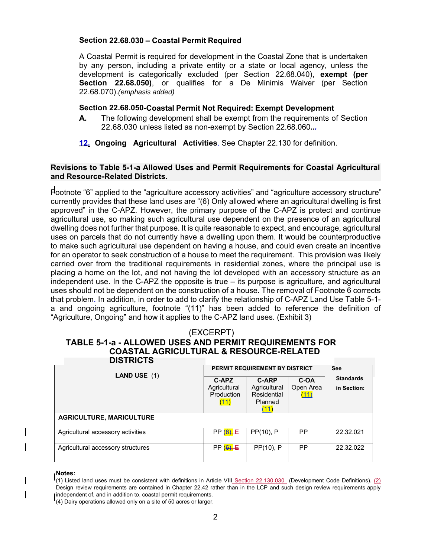# **Section 22.68.030 – Coastal Permit Required**

A Coastal Permit is required for development in the Coastal Zone that is undertaken by any person, including a private entity or a state or local agency, unless the development is categorically excluded (per Section 22.68.040), **exempt (per Section 22.68.050)**, or qualifies for a De Minimis Waiver (per Section 22.68.070).*(emphasis added)* 

#### **Section 22.68.050-Coastal Permit Not Required: Exempt Development**

- **A.** The following development shall be exempt from the requirements of Section 22.68.030 unless listed as non-exempt by Section 22.68.060**..***.*
- **12. Ongoing Agricultural Activities**. See Chapter 22.130 for definition.

# **Revisions to Table 5-1-a Allowed Uses and Permit Requirements for Coastal Agricultural and Resource-Related Districts.**

Footnote "6" applied to the "agriculture accessory activities" and "agriculture accessory structure" currently provides that these land uses are "(6) Only allowed where an agricultural dwelling is first approved" in the C-APZ. However, the primary purpose of the C-APZ is protect and continue agricultural use, so making such agricultural use dependent on the presence of an agricultural dwelling does not further that purpose. It is quite reasonable to expect, and encourage, agricultural uses on parcels that do not currently have a dwelling upon them. It would be counterproductive to make such agricultural use dependent on having a house, and could even create an incentive for an operator to seek construction of a house to meet the requirement. This provision was likely carried over from the traditional requirements in residential zones, where the principal use is placing a home on the lot, and not having the lot developed with an accessory structure as an independent use. In the C-APZ the opposite is true – its purpose is agriculture, and agricultural uses should not be dependent on the construction of a house. The removal of Footnote 6 corrects that problem. In addition, in order to add to clarify the relationship of C-APZ Land Use Table 5-1 a and ongoing agriculture, footnote "(11)" has been added to reference the definition of "Agriculture, Ongoing" and how it applies to the C-APZ land uses. (Exhibit 3)

#### (EXCERPT) **TABLE 5-1-a - ALLOWED USES AND PERMIT REQUIREMENTS FOR COASTAL AGRICULTURAL & RESOURCE-RELATED DISTRICTS**

| .<br><b>LAND USE</b> $(1)$        | C-APZ<br>Agricultural<br>Production<br>(11) | PERMIT REQUIREMENT BY DISTRICT<br><b>C-ARP</b><br>Agricultural<br>Residential<br>Planned<br>(11) | C-OA<br>Open Area<br>(11) | See<br><b>Standards</b><br>in Section: |
|-----------------------------------|---------------------------------------------|--------------------------------------------------------------------------------------------------|---------------------------|----------------------------------------|
| <b>AGRICULTURE, MARICULTURE</b>   |                                             |                                                                                                  |                           |                                        |
| Agricultural accessory activities | PP(6), E                                    | PP(10), P                                                                                        | <b>PP</b>                 | 22.32.021                              |
| Agricultural accessory structures | PP(6), E                                    | PP(10), P                                                                                        | <b>PP</b>                 | 22.32.022                              |

#### **Notes:**

 $\overline{\phantom{a}}$ 

(4) Dairy operations allowed only on a site of 50 acres or larger.

<sup>(1)</sup> Listed land uses must be consistent with definitions in Article VIII Section 22.130.030 (Development Code Definitions). (2) Design review requirements are contained in Chapter 22.42 rather than in the LCP and such design review requirements apply independent of, and in addition to, coastal permit requirements.